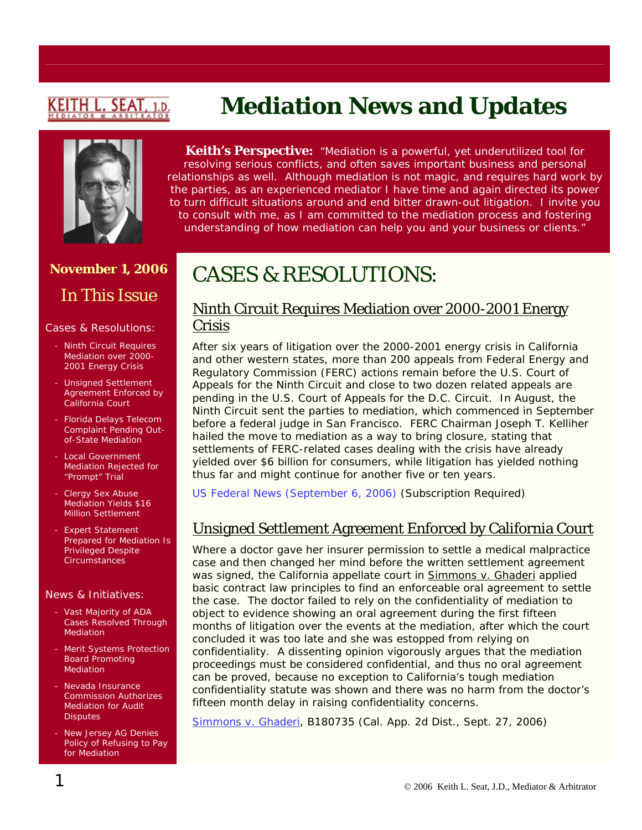# (EITH L. SEAT

# **Mediation News and Updates**



**Keith's Perspective:** *"Mediation is a powerful, yet underutilized tool for resolving serious conflicts, and often saves important business and personal relationships as well. Although mediation is not magic, and requires hard work by the parties, as an experienced mediator I have time and again directed its power to turn difficult situations around and end bitter drawn-out litigation. I invite you to consult with me, as I am committed to the mediation process and fostering understanding of how mediation can help you and your business or clients."*

## **November 1, 2006**

# In This Issue

#### Cases & Resolutions:

- Ninth Circuit Requires Mediation over 2000- 2001 Energy Crisis
- Unsigned Settlement Agreement Enforced by California Court
- Florida Delays Telecom Complaint Pending Outof-State Mediation
- Local Government Mediation Rejected for "Prompt" Trial
- Clergy Sex Abuse Mediation Yields \$16 Million Settlement
- Expert Statement Prepared for Mediation Is Privileged Despite **Circumstances**

#### News & Initiatives:

- Vast Majority of ADA Cases Resolved Through Mediation
- Merit Systems Protection Board Promoting Mediation
- Nevada Insurance Commission Authorizes Mediation for Audit **Disputes**
- New Jersey AG Denies Policy of Refusing to Pay for Mediation

# CASES & RESOLUTIONS:

### Ninth Circuit Requires Mediation over 2000-2001 Energy Crisis

After six years of litigation over the 2000-2001 energy crisis in California and other western states, more than 200 appeals from Federal Energy and Regulatory Commission (FERC) actions remain before the U.S. Court of Appeals for the Ninth Circuit and close to two dozen related appeals are pending in the U.S. Court of Appeals for the D.C. Circuit. In August, the Ninth Circuit sent the parties to mediation, which commenced in September before a federal judge in San Francisco. FERC Chairman Joseph T. Kelliher hailed the move to mediation as a way to bring closure, stating that settlements of FERC-related cases dealing with the crisis have already yielded over \$6 billion for consumers, while litigation has yielded nothing thus far and might continue for another five or ten years.

[US Federal News \(September 6, 2006\)](http://web2.westlaw.com/find/default.wl?rs=WLW6.09&fn=_top&sv=Split&findjuris=00001&mt=NewsAndBusiness&vr=2.0&rp=/find/default.wl&cite=2006+WLNR+15567686) (Subscription Required)

### Unsigned Settlement Agreement Enforced by California Court

Where a doctor gave her insurer permission to settle a medical malpractice case and then changed her mind before the written settlement agreement was signed, the California appellate court in [Simmons v. Ghaderi](http://fsnews.findlaw.com/cases/ca/caapp4th/slip/2006/b180735.html) applied basic contract law principles to find an enforceable oral agreement to settle the case. The doctor failed to rely on the confidentiality of mediation to object to evidence showing an oral agreement during the first fifteen months of litigation over the events at the mediation, after which the court concluded it was too late and she was estopped from relying on confidentiality. A dissenting opinion vigorously argues that the mediation proceedings must be considered confidential, and thus no oral agreement can be proved, because no exception to California's tough mediation confidentiality statute was shown and there was no harm from the doctor's fifteen month delay in raising confidentiality concerns.

[Simmons v. Ghaderi](http://fsnews.findlaw.com/cases/ca/caapp4th/slip/2006/b180735.html), B180735 (Cal. App. 2d Dist., Sept. 27, 2006)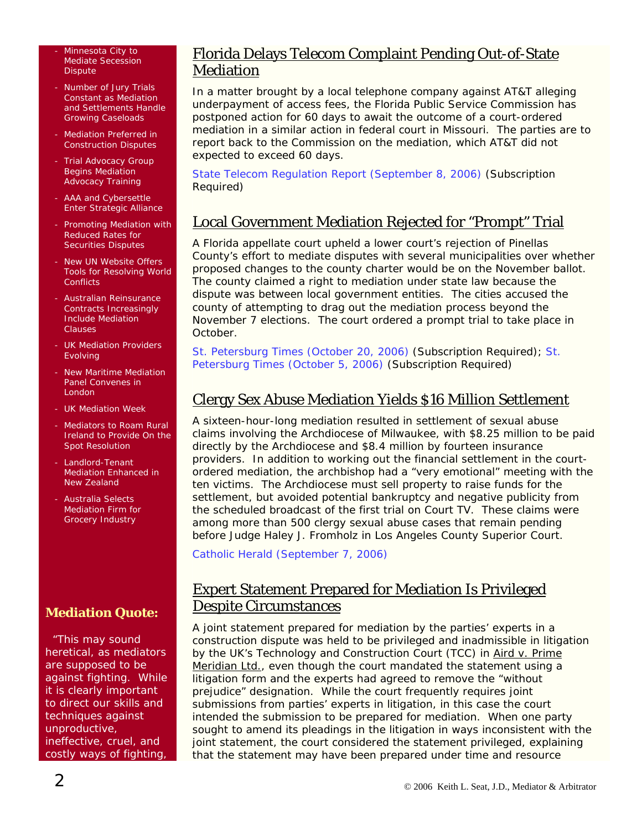#### Minnesota City to Mediate Secession **Dispute**

- Number of Jury Trials Constant as Mediation and Settlements Handle Growing Caseloads
- Mediation Preferred in Construction Disputes
- Trial Advocacy Group Begins Mediation Advocacy Training
- AAA and Cybersettle Enter Strategic Alliance
- Promoting Mediation with Reduced Rates for Securities Disputes
- New UN Website Offers Tools for Resolving World **Conflicts**
- Australian Reinsurance Contracts Increasingly Include Mediation Clauses
- UK Mediation Providers **Evolving**
- New Maritime Mediation Panel Convenes in London
- UK Mediation Week
- Mediators to Roam Rural Ireland to Provide On the Spot Resolution
- Landlord-Tenant Mediation Enhanced in New Zealand
- Australia Selects Mediation Firm for Grocery Industry

### **Mediation Quote:**

 "This may sound heretical, as mediators are supposed to be against fighting. While it is clearly important to direct our skills and techniques against unproductive, ineffective, cruel, and costly ways of fighting,

### Florida Delays Telecom Complaint Pending Out-of-State Mediation

In a matter brought by a local telephone company against AT&T alleging underpayment of access fees, the Florida Public Service Commission has postponed action for 60 days to await the outcome of a court-ordered mediation in a similar action in federal court in Missouri. The parties are to report back to the Commission on the mediation, which AT&T did not expected to exceed 60 days.

[State Telecom Regulation Report \(September 8, 2006\)](http://web2.westlaw.com/find/default.wl?rs=WLW6.09&fn=_top&sv=Split&findjuris=00001&mt=NewsAndBusiness&vr=2.0&rp=/find/default.wl&cite=2006+WLNR+15830331) (Subscription Required)

### Local Government Mediation Rejected for "Prompt" Trial

A Florida appellate court upheld a lower court's rejection of Pinellas County's effort to mediate disputes with several municipalities over whether proposed changes to the county charter would be on the November ballot. The county claimed a right to mediation under state law because the dispute was between local government entities. The cities accused the county of attempting to drag out the mediation process beyond the November 7 elections. The court ordered a prompt trial to take place in October.

[St. Petersburg Times \(October 20, 2006\)](http://web2.westlaw.com/Welcome/NewsAndBusiness/default.wl?RS=WLW6.09&VR=2.0&FN=_top&MT=NewsAndBusiness&SV=Split) (Subscription Required); [St.](http://web2.westlaw.com/find/default.wl?rs=WLW6.09&fn=_top&sv=Split&findjuris=00001&mt=NewsAndBusiness&vr=2.0&rp=/find/default.wl&cite=2006+WLNR+17281201)  [Petersburg Times \(October 5, 2006\)](http://web2.westlaw.com/find/default.wl?rs=WLW6.09&fn=_top&sv=Split&findjuris=00001&mt=NewsAndBusiness&vr=2.0&rp=/find/default.wl&cite=2006+WLNR+17281201) (Subscription Required)

### Clergy Sex Abuse Mediation Yields \$16 Million Settlement

A sixteen-hour-long mediation resulted in settlement of sexual abuse claims involving the Archdiocese of Milwaukee, with \$8.25 million to be paid directly by the Archdiocese and \$8.4 million by fourteen insurance providers. In addition to working out the financial settlement in the courtordered mediation, the archbishop had a "very emotional" meeting with the ten victims. The Archdiocese must sell property to raise funds for the settlement, but avoided potential bankruptcy and negative publicity from the scheduled broadcast of the first trial on Court TV. These claims were among more than 500 clergy sexual abuse cases that remain pending before Judge Haley J. Fromholz in Los Angeles County Superior Court.

[Catholic Herald \(September 7, 2006\)](http://www.catholic.org/diocese/diocese_story.php?id=21169)

### Expert Statement Prepared for Mediation Is Privileged Despite Circumstances

A joint statement prepared for mediation by the parties' experts in a construction dispute was held to be privileged and inadmissible in litigation by the UK's Technology and Construction Court (TCC) in Aird v. Prime Meridian Ltd., even though the court mandated the statement using a litigation form and the experts had agreed to remove the "without prejudice" designation. While the court frequently requires joint submissions from parties' experts in litigation, in this case the court intended the submission to be prepared for mediation. When one party sought to amend its pleadings in the litigation in ways inconsistent with the joint statement, the court considered the statement privileged, explaining that the statement may have been prepared under time and resource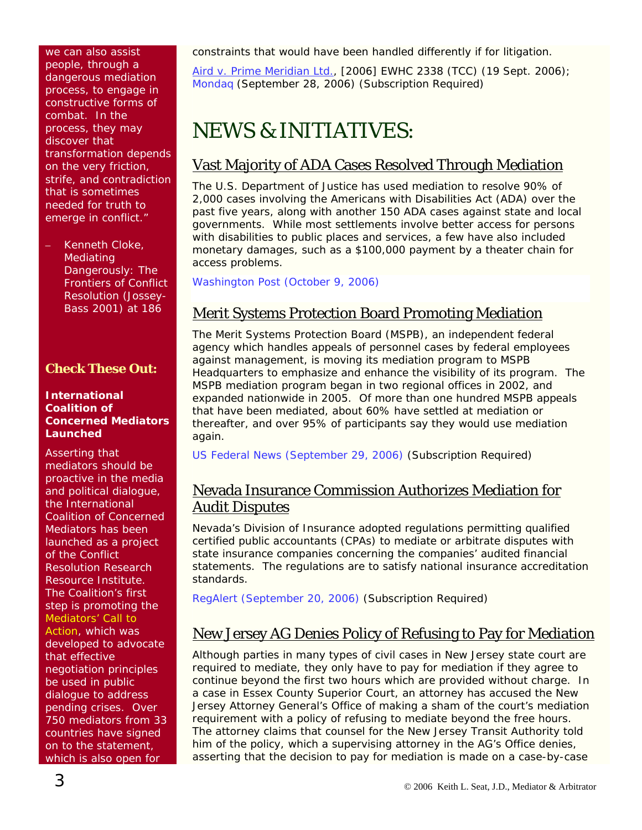we can also assist people, through a dangerous mediation process, to engage in constructive forms of combat. In the process, they may discover that transformation depends on the very friction, strife, and contradiction that is sometimes needed for truth to emerge in conflict."

Kenneth Cloke, *Mediating Dangerously: The Frontiers of Conflict Resolution* (Jossey-Bass 2001) at 186

#### **Check These Out:**

#### **International Coalition of Concerned Mediators Launched**

Asserting that mediators should be proactive in the media and political dialogue, the International Coalition of Concerned Mediators has been launched as a project of the Conflict Resolution Research Resource Institute. The Coalition's first step is promoting the [Mediators' Call to](http://www.concernedmediators.org/index.cfm)  [Action](http://www.concernedmediators.org/index.cfm), which was developed to advocate that effective negotiation principles be used in public dialogue to address pending crises. Over 750 mediators from 33 countries have signed on to the statement, which is also open for

constraints that would have been handled differently if for litigation.

[Aird v. Prime Meridian Ltd.](http://www.greenbook.co.uk/dataitem.asp?ID=236692&tid=3), [2006] EWHC 2338 (TCC) (19 Sept. 2006); [Mondaq](http://web2.westlaw.com/find/default.wl?rs=WLW6.09&fn=_top&sv=Split&findjuris=00001&mt=NewsAndBusiness&vr=2.0&rp=/find/default.wl&cite=2006+WLNR+16793312) (September 28, 2006) (Subscription Required)

## NEWS & INITIATIVES:

### Vast Majority of ADA Cases Resolved Through Mediation

The U.S. Department of Justice has used mediation to resolve 90% of 2,000 cases involving the Americans with Disabilities Act (ADA) over the past five years, along with another 150 ADA cases against state and local governments. While most settlements involve better access for persons with disabilities to public places and services, a few have also included monetary damages, such as a \$100,000 payment by a theater chain for access problems.

[Washington Post \(October 9, 2006\)](http://www.washingtonpost.com/wp-dyn/content/article/2006/10/08/AR2006100800845.html)

### Merit Systems Protection Board Promoting Mediation

The Merit Systems Protection Board (MSPB), an independent federal agency which handles appeals of personnel cases by federal employees against management, is moving its mediation program to MSPB Headquarters to emphasize and enhance the visibility of its program. The MSPB mediation program began in two regional offices in 2002, and expanded nationwide in 2005. Of more than one hundred MSPB appeals that have been mediated, about 60% have settled at mediation or thereafter, and over 95% of participants say they would use mediation again.

[US Federal News \(September 29, 2006\)](http://web2.westlaw.com/find/default.wl?rs=WLW6.09&fn=_top&sv=Split&findjuris=00001&mt=NewsAndBusiness&vr=2.0&rp=/find/default.wl&cite=2006+WLNR+16952441) (Subscription Required)

### Nevada Insurance Commission Authorizes Mediation for Audit Disputes

Nevada's Division of Insurance adopted regulations permitting qualified certified public accountants (CPAs) to mediate or arbitrate disputes with state insurance companies concerning the companies' audited financial statements. The regulations are to satisfy national insurance accreditation standards.

[RegAlert \(September 20, 2006\)](http://web2.westlaw.com/find/default.wl?rs=WLW6.09&fn=_top&sv=Split&findjuris=00001&mt=NewsAndBusiness&vr=2.0&rp=/find/default.wl&cite=2006+WLNR+16641483) (Subscription Required)

### New Jersey AG Denies Policy of Refusing to Pay for Mediation

Although parties in many types of civil cases in New Jersey state court are required to mediate, they only have to pay for mediation if they agree to continue beyond the first two hours which are provided without charge. In a case in Essex County Superior Court, an attorney has accused the New Jersey Attorney General's Office of making a sham of the court's mediation requirement with a policy of refusing to mediate beyond the free hours. The attorney claims that counsel for the New Jersey Transit Authority told him of the policy, which a supervising attorney in the AG's Office denies, asserting that the decision to pay for mediation is made on a case-by-case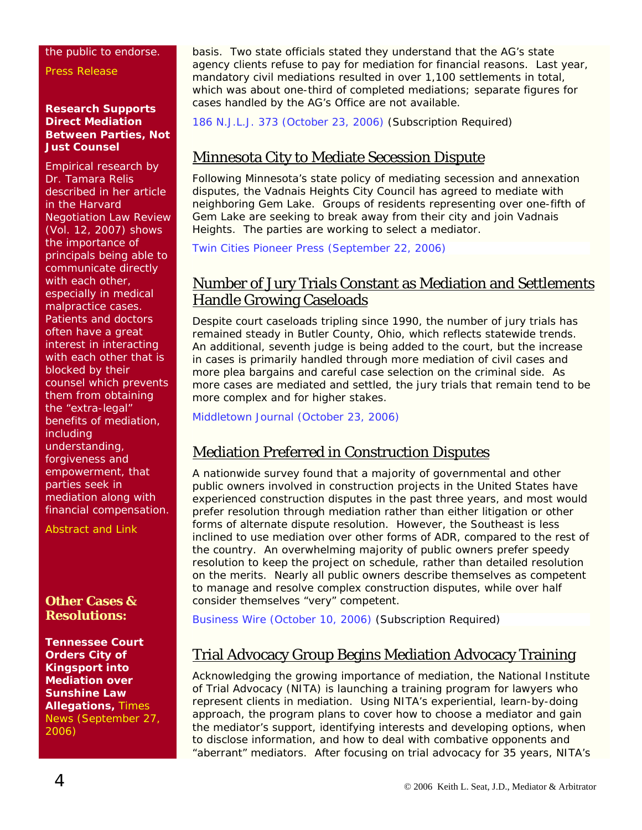#### the public to endorse.

[Press Release](http://www.concernedmediators.org/pg9.cfm)

#### **Research Supports Direct Mediation Between Parties, Not Just Counsel**

Empirical research by Dr. Tamara Relis described in her article in the *Harvard Negotiation Law Review* (Vol. 12, 2007) shows the importance of principals being able to communicate directly with each other, especially in medical malpractice cases. Patients and doctors often have a great interest in interacting with each other that is blocked by their counsel which prevents them from obtaining the "extra-legal" benefits of mediation, including understanding, forgiveness and empowerment, that parties seek in mediation along with financial compensation.

[Abstract and Link](http://papers.ssrn.com/sol3/papers.cfm?abstract_id=909518) 

### **Other Cases & Resolutions:**

**Tennessee Court Orders City of Kingsport into Mediation over Sunshine Law Allegations,** [Times](http://www.timesnews.net/article.php?id=3680002)  [News \(September 27,](http://www.timesnews.net/article.php?id=3680002)  [2006\)](http://www.timesnews.net/article.php?id=3680002)

basis. Two state officials stated they understand that the AG's state agency clients refuse to pay for mediation for financial reasons. Last year, mandatory civil mediations resulted in over 1,100 settlements in total, which was about one-third of completed mediations; separate figures for cases handled by the AG's Office are not available.

[186 N.J.L.J. 373 \(October 23, 2006\)](http://web2.westlaw.com/find/default.wl?rs=WLW6.09&fn=_top&sv=Split&findjuris=00001&mt=NewsAndBusiness&vr=2.0&rp=/find/default.wl&cite=186+N.J.L.J.+373) (Subscription Required)

### Minnesota City to Mediate Secession Dispute

Following Minnesota's state policy of mediating secession and annexation disputes, the Vadnais Heights City Council has agreed to mediate with neighboring Gem Lake. Groups of residents representing over one-fifth of Gem Lake are seeking to break away from their city and join Vadnais Heights. The parties are working to select a mediator.

[Twin Cities Pioneer Press \(September 22, 2006\)](http://www.twincities.com/mld/twincities/news/local/15578759.htm)

### Number of Jury Trials Constant as Mediation and Settlements Handle Growing Caseloads

Despite court caseloads tripling since 1990, the number of jury trials has remained steady in Butler County, Ohio, which reflects statewide trends. An additional, seventh judge is being added to the court, but the increase in cases is primarily handled through more mediation of civil cases and more plea bargains and careful case selection on the criminal side. As more cases are mediated and settled, the jury trials that remain tend to be more complex and for higher stakes.

[Middletown Journal \(October 23, 2006\)](http://www.middletownjournal.com/hp/content/oh/story/news/local/2006/10/22/hjn102206juries.html) 

### Mediation Preferred in Construction Disputes

A nationwide survey found that a majority of governmental and other public owners involved in construction projects in the United States have experienced construction disputes in the past three years, and most would prefer resolution through mediation rather than either litigation or other forms of alternate dispute resolution. However, the Southeast is less inclined to use mediation over other forms of ADR, compared to the rest of the country. An overwhelming majority of public owners prefer speedy resolution to keep the project on schedule, rather than detailed resolution on the merits. Nearly all public owners describe themselves as competent to manage and resolve complex construction disputes, while over half consider themselves "very" competent.

[Business Wire \(October 10, 2006\)](http://web2.westlaw.com/find/default.wl?rs=WLW6.09&fn=_top&sv=Split&findjuris=00001&mt=NewsAndBusiness&vr=2.0&rp=/find/default.wl&cite=10/10/06+Bus.+Wire+13:15:00) (Subscription Required)

### Trial Advocacy Group Begins Mediation Advocacy Training

Acknowledging the growing importance of mediation, the National Institute of Trial Advocacy (NITA) is launching a training program for lawyers who represent clients in mediation. Using NITA's experiential, learn-by-doing approach, the program plans to cover how to choose a mediator and gain the mediator's support, identifying interests and developing options, when to disclose information, and how to deal with combative opponents and "aberrant" mediators. After focusing on trial advocacy for 35 years, NITA's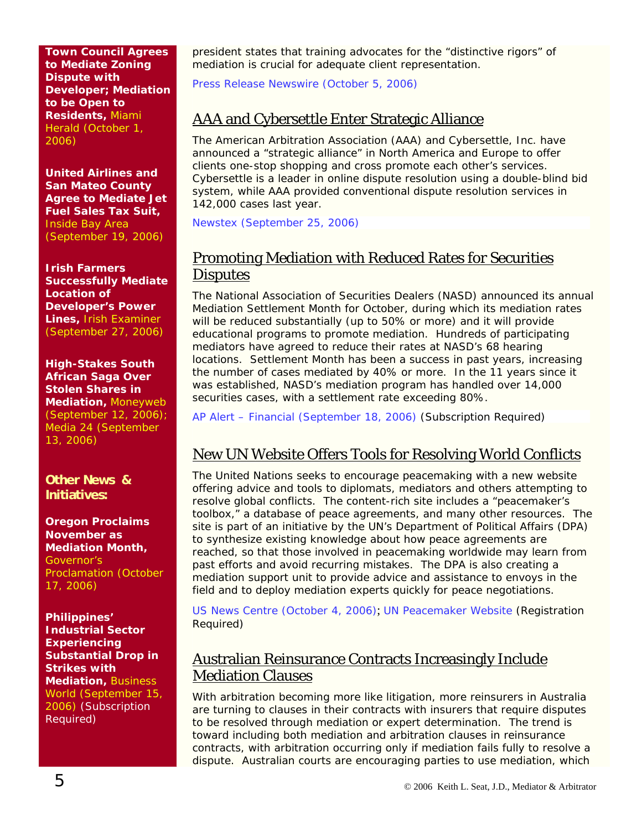**Town Council Agrees to Mediate Zoning Dispute with Developer; Mediation to be Open to Residents,** [Miami](http://www.miami.com/mld/miamiherald/news/local/states/florida/counties/miami-dade/cities_neighborhoods/pinecrest/15644316.htm)  [Herald \(October 1,](http://www.miami.com/mld/miamiherald/news/local/states/florida/counties/miami-dade/cities_neighborhoods/pinecrest/15644316.htm)  [2006\)](http://www.miami.com/mld/miamiherald/news/local/states/florida/counties/miami-dade/cities_neighborhoods/pinecrest/15644316.htm)

**United Airlines and San Mateo County Agree to Mediate Jet Fuel Sales Tax Suit,** [Inside Bay Area](http://www.insidebayarea.com/sanmateocountytimes/ci_4360713)  [\(September 19, 2006\)](http://www.insidebayarea.com/sanmateocountytimes/ci_4360713)

**Irish Farmers Successfully Mediate Location of Developer's Power Lines,** [Irish Examiner](http://www.irishexaminer.com/breaking/story.asp?j=196628060&p=y966z8766&n=196628820)  [\(September 27, 2006\)](http://www.irishexaminer.com/breaking/story.asp?j=196628060&p=y966z8766&n=196628820)

**High-Stakes South African Saga Over Stolen Shares in Mediation,** [Moneyweb](http://www.moneyweb.co.za/specials/kebble_saga/164231.htm)  [\(September 12, 2006\)](http://www.moneyweb.co.za/specials/kebble_saga/164231.htm); [Media 24 \(September](http://www.fin24.co.za/articles/companies/display_article.aspx?Nav=ns&lvl2=comp&ArticleID=1518-24_1998098)  [13, 2006\)](http://www.fin24.co.za/articles/companies/display_article.aspx?Nav=ns&lvl2=comp&ArticleID=1518-24_1998098)

**Other News & Initiatives:** 

**Oregon Proclaims November as Mediation Month,**  [Governor's](http://www.mediate.com/pdf/proclamation.jpg)  [Proclamation \(October](http://www.mediate.com/pdf/proclamation.jpg)  [17, 2006\)](http://www.mediate.com/pdf/proclamation.jpg)

**Philippines' Industrial Sector Experiencing Substantial Drop in Strikes with Mediation,** [Business](http://web2.westlaw.com/find/default.wl?rs=WLW6.09&fn=_top&sv=Split&findjuris=00001&mt=NewsAndBusiness&vr=2.0&rp=/find/default.wl&cite=2006+WLNR+15997968)  [World \(September 15,](http://web2.westlaw.com/find/default.wl?rs=WLW6.09&fn=_top&sv=Split&findjuris=00001&mt=NewsAndBusiness&vr=2.0&rp=/find/default.wl&cite=2006+WLNR+15997968)  [2006\)](http://web2.westlaw.com/find/default.wl?rs=WLW6.09&fn=_top&sv=Split&findjuris=00001&mt=NewsAndBusiness&vr=2.0&rp=/find/default.wl&cite=2006+WLNR+15997968) (Subscription Required)

president states that training advocates for the "distinctive rigors" of mediation is crucial for adequate client representation.

[Press Release Newswire \(October 5, 2006\)](http://www.prweb.com/releases/2006/10/prweb446771.htm)

### AAA and Cybersettle Enter Strategic Alliance

The American Arbitration Association (AAA) and Cybersettle, Inc. have announced a "strategic alliance" in North America and Europe to offer clients one-stop shopping and cross promote each other's services. Cybersettle is a leader in online dispute resolution using a double-blind bid system, while AAA provided conventional dispute resolution services in 142,000 cases last year.

[Newstex \(September 25, 2006\)](http://news.pajamasmedia.com/politics/2006/09/25/11020752_The_American_Arb.shtml) 

### Promoting Mediation with Reduced Rates for Securities **Disputes**

The National Association of Securities Dealers (NASD) announced its annual Mediation Settlement Month for October, during which its mediation rates will be reduced substantially (up to 50% or more) and it will provide educational programs to promote mediation. Hundreds of participating mediators have agreed to reduce their rates at NASD's 68 hearing locations. Settlement Month has been a success in past years, increasing the number of cases mediated by 40% or more. In the 11 years since it was established, NASD's mediation program has handled over 14,000 securities cases, with a settlement rate exceeding 80%.

[AP Alert – Financial \(September 18, 2006\)](http://web2.westlaw.com/find/default.wl?rs=WLW6.09&fn=_top&sv=Split&findjuris=00001&mt=NewsAndBusiness&vr=2.0&rp=/find/default.wl&cite=9/18/06+AP+Alert+-+Fin.+14:55:17) (Subscription Required)

### New UN Website Offers Tools for Resolving World Conflicts

The United Nations seeks to encourage peacemaking with a new website offering advice and tools to diplomats, mediators and others attempting to resolve global conflicts. The content-rich site includes a "peacemaker's toolbox," a database of peace agreements, and many other resources. The site is part of an initiative by the UN's Department of Political Affairs (DPA) to synthesize existing knowledge about how peace agreements are reached, so that those involved in peacemaking worldwide may learn from past efforts and avoid recurring mistakes. The DPA is also creating a mediation support unit to provide advice and assistance to envoys in the field and to deploy mediation experts quickly for peace negotiations.

[US News Centre \(October 4, 2006\)](http://www.un.org/apps/news/story.asp?NewsID=20136&Cr=peacekeep&Cr1=); [UN Peacemaker Website](http://peacemaker.unlb.org/index1.php) (Registration Required)

### Australian Reinsurance Contracts Increasingly Include Mediation Clauses

With arbitration becoming more like litigation, more reinsurers in Australia are turning to clauses in their contracts with insurers that require disputes to be resolved through mediation or expert determination. The trend is toward including both mediation and arbitration clauses in reinsurance contracts, with arbitration occurring only if mediation fails fully to resolve a dispute. Australian courts are encouraging parties to use mediation, which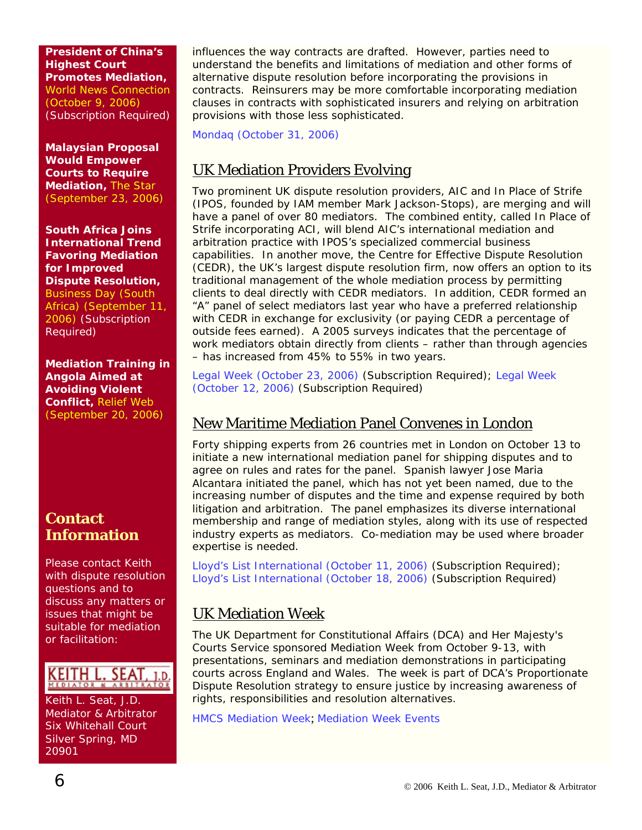**President of China's Highest Court Promotes Mediation,**  [World News Connection](http://web2.westlaw.com/find/default.wl?rs=WLW6.09&fn=_top&sv=Split&findjuris=00001&mt=NewsAndBusiness&vr=2.0&rp=/find/default.wl&cite=10/9/06+World+News+Connection+(Newswire)+16:01:43)  [\(October 9, 2006\)](http://web2.westlaw.com/find/default.wl?rs=WLW6.09&fn=_top&sv=Split&findjuris=00001&mt=NewsAndBusiness&vr=2.0&rp=/find/default.wl&cite=10/9/06+World+News+Connection+(Newswire)+16:01:43) (Subscription Required)

**Malaysian Proposal Would Empower Courts to Require Mediation,** [The Star](http://thestar.com.my/news/story.asp?file=/2006/9/23/courts/15523625&sec=courts) [\(September 23, 2006\)](http://thestar.com.my/news/story.asp?file=/2006/9/23/courts/15523625&sec=courts)

**South Africa Joins International Trend Favoring Mediation for Improved Dispute Resolution,** [Business Day \(South](http://web2.westlaw.com/find/default.wl?rs=WLW6.09&fn=_top&sv=Split&findjuris=00001&mt=NewsAndBusiness&vr=2.0&rp=/find/default.wl&cite=2006+WLNR+15826243) 

[Africa\) \(September 11,](http://web2.westlaw.com/find/default.wl?rs=WLW6.09&fn=_top&sv=Split&findjuris=00001&mt=NewsAndBusiness&vr=2.0&rp=/find/default.wl&cite=2006+WLNR+15826243)  [2006\)](http://web2.westlaw.com/find/default.wl?rs=WLW6.09&fn=_top&sv=Split&findjuris=00001&mt=NewsAndBusiness&vr=2.0&rp=/find/default.wl&cite=2006+WLNR+15826243) (Subscription Required)

**Mediation Training in Angola Aimed at Avoiding Violent Conflict,** [Relief Web](http://www.reliefweb.int/rw/RWB.NSF/db900SID/HMYT-6TUMQG?OpenDocument)  [\(September 20, 2006\)](http://www.reliefweb.int/rw/RWB.NSF/db900SID/HMYT-6TUMQG?OpenDocument)

### **Contact Information**

Please contact Keith with dispute resolution questions and to discuss any matters or issues that might be suitable for mediation or facilitation:



Keith L. Seat, J.D. Mediator & Arbitrator Six Whitehall Court Silver Spring, MD 20901

influences the way contracts are drafted. However, parties need to understand the benefits and limitations of mediation and other forms of alternative dispute resolution before incorporating the provisions in contracts. Reinsurers may be more comfortable incorporating mediation clauses in contracts with sophisticated insurers and relying on arbitration provisions with those less sophisticated.

[Mondaq \(October 31, 2006\)](http://www.mondaq.com/i_article.asp_Q_articleid_E_43858) 

### UK Mediation Providers Evolving

Two prominent UK dispute resolution providers, AIC and In Place of Strife (IPOS, founded by IAM member Mark Jackson-Stops), are merging and will have a panel of over 80 mediators. The combined entity, called In Place of Strife incorporating ACI, will blend AIC's international mediation and arbitration practice with IPOS's specialized commercial business capabilities. In another move, the Centre for Effective Dispute Resolution (CEDR), the UK's largest dispute resolution firm, now offers an option to its traditional management of the whole mediation process by permitting clients to deal directly with CEDR mediators. In addition, CEDR formed an "A" panel of select mediators last year who have a preferred relationship with CEDR in exchange for exclusivity (or paying CEDR a percentage of outside fees earned). A 2005 surveys indicates that the percentage of work mediators obtain directly from clients – rather than through agencies – has increased from 45% to 55% in two years.

[Legal Week \(October 23, 2006\)](http://web2.westlaw.com/find/default.wl?rs=WLW6.09&fn=_top&sv=Split&findjuris=00001&mt=NewsAndBusiness&vr=2.0&rp=/find/default.wl&cite=2006+WLNR+18384666) (Subscription Required); [Legal Week](http://web2.westlaw.com/find/default.wl?rs=WLW6.09&fn=_top&sv=Split&findjuris=00001&mt=NewsAndBusiness&vr=2.0&rp=/find/default.wl&cite=2006+WLNR+17650267)  [\(October 12, 2006\)](http://web2.westlaw.com/find/default.wl?rs=WLW6.09&fn=_top&sv=Split&findjuris=00001&mt=NewsAndBusiness&vr=2.0&rp=/find/default.wl&cite=2006+WLNR+17650267) (Subscription Required)

### New Maritime Mediation Panel Convenes in London

Forty shipping experts from 26 countries met in London on October 13 to initiate a new international mediation panel for shipping disputes and to agree on rules and rates for the panel. Spanish lawyer Jose Maria Alcantara initiated the panel, which has not yet been named, due to the increasing number of disputes and the time and expense required by both litigation and arbitration. The panel emphasizes its diverse international membership and range of mediation styles, along with its use of respected industry experts as mediators. Co-mediation may be used where broader expertise is needed.

[Lloyd's List International \(October 11, 2006\)](http://web2.westlaw.com/find/default.wl?rs=WLW6.09&fn=_top&sv=Split&findjuris=00001&mt=NewsAndBusiness&vr=2.0&rp=/find/default.wl&cite=2006+WLNR+17538160) (Subscription Required); [Lloyd's List International \(October 18, 2006\)](http://web2.westlaw.com/find/default.wl?rs=WLW6.09&fn=_top&sv=Split&findjuris=00001&mt=NewsAndBusiness&vr=2.0&rp=/find/default.wl&cite=2006+WLNR+18019194) (Subscription Required)

### UK Mediation Week

The UK Department for Constitutional Affairs (DCA) and Her Majesty's Courts Service sponsored Mediation Week from October 9-13, with presentations, seminars and mediation demonstrations in participating courts across England and Wales. The week is part of DCA's Proportionate Dispute Resolution strategy to ensure justice by increasing awareness of rights, responsibilities and resolution alternatives.

HMCS Mediation Week; [Mediation Week Events](http://www.hmcourts-service.gov.uk/mediationweek.htm)